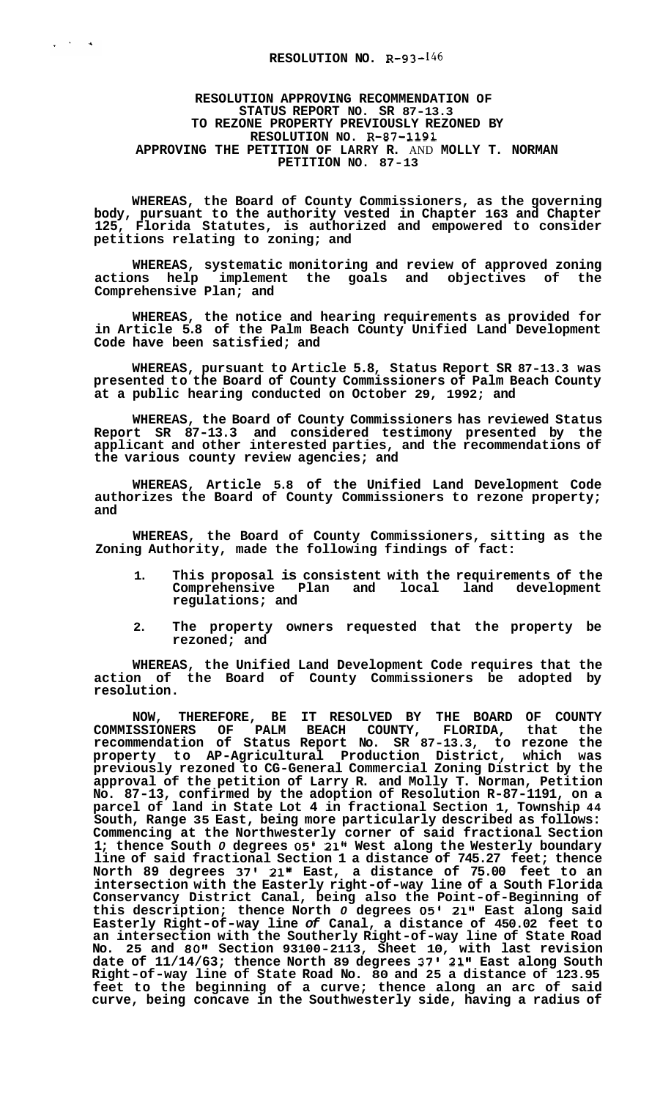$\frac{1}{2}$  ,  $\frac{1}{2}$  ,  $\frac{1}{2}$  ,  $\frac{1}{2}$ 

## **RESOLUTION APPROVING RECOMMENDATION OF STATUS REPORT NO. SR 87-13.3 TO REZONE PROPERTY PREVIOUSLY REZONED BY RESOLUTION NO. R-87-1191 APPROVING THE PETITION OF LARRY R.** AND **MOLLY T. NORMAN PETITION NO. 87-13**

**WHEREAS, the Board of County Commissioners, as the governing body, pursuant to the authority vested in Chapter 163 and Chapter 125, Florida Statutes, is authorized and empowered to consider petitions relating to zoning; and** 

**WHEREAS, systematic monitoring and review of approved zoning actions help implement the goals and objectives of the Comprehensive Plan; and** 

**WHEREAS, the notice and hearing requirements as provided for in Article 5.8 of the Palm Beach County Unified Land Development Code have been satisfied; and** 

**WHEREAS, pursuant to Article 5.8, Status Report SR 87-13.3 was presented to the Board of County Commissioners of Palm Beach County at a public hearing conducted on October 29, 1992; and** 

**WHEREAS, the Board of County Commissioners has reviewed Status Report SR 87-13.3 and considered testimony presented by the applicant and other interested parties, and the recommendations of the various county review agencies; and** 

**WHEREAS, Article 5.8 of the Unified Land Development Code authorizes the Board of County Commissioners to rezone property; and** 

**WHEREAS, the Board of County Commissioners, sitting as the Zoning Authority, made the following findings of fact:** 

- **1. This proposal is consistent with the requirements of the**  Comprehensive Plan and local **regulations; and**
- **2. The property owners requested that the property be rezoned; and**

**WHEREAS, the Unified Land Development Code requires that the action of the Board of County Commissioners be adopted by resolution.** 

**NOW, THEREFORE, BE IT RESOLVED BY THE BOARD OF COUNTY COMMISSIONERS OF PALM BEACH COUNTY, FLORIDA, that the recommendation of Status Report No. SR 87-13.3, to rezone the property to AP-Agricultural Production District, which was previously rezoned to CG-General Commercial Zoning District by the approval of the petition of Larry R. and Molly T. Norman, Petition No. 87-13, confirmed by the adoption of Resolution R-87-1191, on a parcel of land in State Lot 4 in fractional Section 1, Township 44 South, Range 35 East, being more particularly described as follows: Commencing at the Northwesterly corner of said fractional Section 1; thence South** *0* **degrees 05' 21" West along the Westerly boundary line of said fractional Section 1 a distance of 745.27 feet; thence North 89 degrees 37' 21'' East, a distance of 75.00 feet to an intersection with the Easterly right-of-way line of a South Florida Conservancy District Canal, being also the Point-of-Beginning of this description; thence North** *0* **degrees 05' 21" East along said Easterly Right-of-way line** *of* **Canal, a distance of 450.02 feet to an intersection with the Southerly Right-of-way line of State Road No. 25 and** *80"* **Section 93100-2113, Sheet 10, with last revision date of 11/14/63; thence North 89 degrees 37' 21" East along South Right-of-way line of State Road No. 80 and 25 a distance of 123.95 feet to the beginning of a curve; thence along an arc of said curve, being concave in the Southwesterly side, having a radius of**